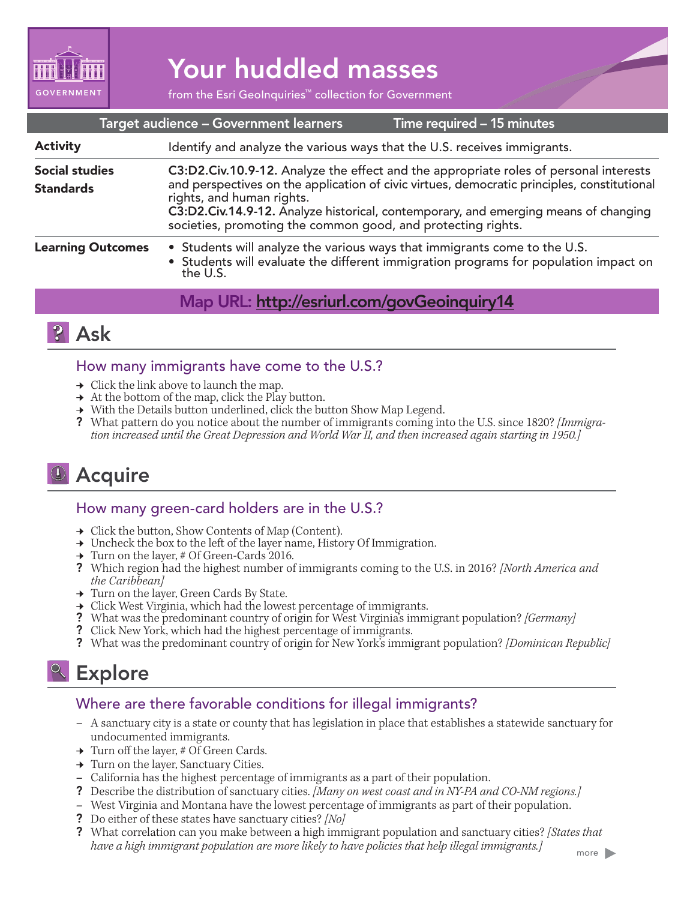

# Your huddled masses

from the Esri GeoInquiries™ collection for Government

|                                           | Target audience - Government learners                                                                                                                                                                                                                                                                                                                                    | Time required - 15 minutes |
|-------------------------------------------|--------------------------------------------------------------------------------------------------------------------------------------------------------------------------------------------------------------------------------------------------------------------------------------------------------------------------------------------------------------------------|----------------------------|
| <b>Activity</b>                           | Identify and analyze the various ways that the U.S. receives immigrants.                                                                                                                                                                                                                                                                                                 |                            |
| <b>Social studies</b><br><b>Standards</b> | C3:D2.Civ.10.9-12. Analyze the effect and the appropriate roles of personal interests<br>and perspectives on the application of civic virtues, democratic principles, constitutional<br>rights, and human rights.<br>C3:D2.Civ.14.9-12. Analyze historical, contemporary, and emerging means of changing<br>societies, promoting the common good, and protecting rights. |                            |
| <b>Learning Outcomes</b>                  | • Students will analyze the various ways that immigrants come to the U.S.<br>• Students will evaluate the different immigration programs for population impact on<br>the U.S.                                                                                                                                                                                            |                            |
|                                           | Map URL: http://esriurl.com/govGeoinquiry14                                                                                                                                                                                                                                                                                                                              |                            |



#### How many immigrants have come to the U.S.?

- $\rightarrow$  Click the link above to launch the map.
- $\rightarrow$  At the bottom of the map, click the Play button.
- ʅ With the Details button underlined, click the button Show Map Legend.
- ? What pattern do you notice about the number of immigrants coming into the U.S. since 1820? *[Immigration increased until the Great Depression and World War II, and then increased again starting in 1950.]*

# **J** Acquire

#### How many green-card holders are in the U.S.?

- **→** Click the button, Show Contents of Map (Content).
- → Uncheck the box to the left of the layer name, History Of Immigration.
- ʅ Turn on the layer, # Of Green-Cards 2016.
- ? Which region had the highest number of immigrants coming to the U.S. in 2016? *[North America and the Caribbean]*
- → Turn on the layer, Green Cards By State.
- $\rightarrow$  Click West Virginia, which had the lowest percentage of immigrants.
- ? What was the predominant country of origin for West Virginia's immigrant population? *[Germany]*
- ? Click New York, which had the highest percentage of immigrants.
- ? What was the predominant country of origin for New York's immigrant population? *[Dominican Republic]*

## <sup>e</sup> Explore

#### Where are there favorable conditions for illegal immigrants?

- **–** A sanctuary city is a state or county that has legislation in place that establishes a statewide sanctuary for undocumented immigrants.
- → Turn off the layer, # Of Green Cards.
- → Turn on the layer, Sanctuary Cities.
- **–** California has the highest percentage of immigrants as a part of their population.
- ? Describe the distribution of sanctuary cities. *[Many on west coast and in NY-PA and CO-NM regions.]*
- **–** West Virginia and Montana have the lowest percentage of immigrants as part of their population.
- ? Do either of these states have sanctuary cities? *[No]*
- ? What correlation can you make between a high immigrant population and sanctuary cities? *[States that have a high immigrant population are more likely to have policies that help illegal immigrants.]*